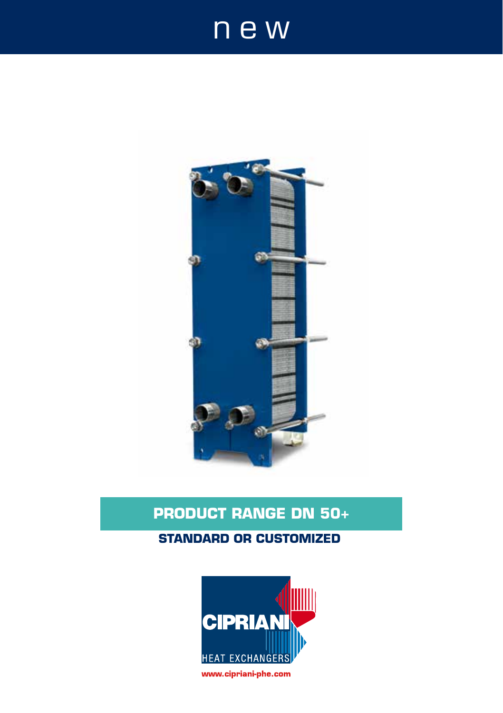# new



# **PRODUCT RANGE DN 50+**

#### **STANDARD OR CUSTOMIZED**

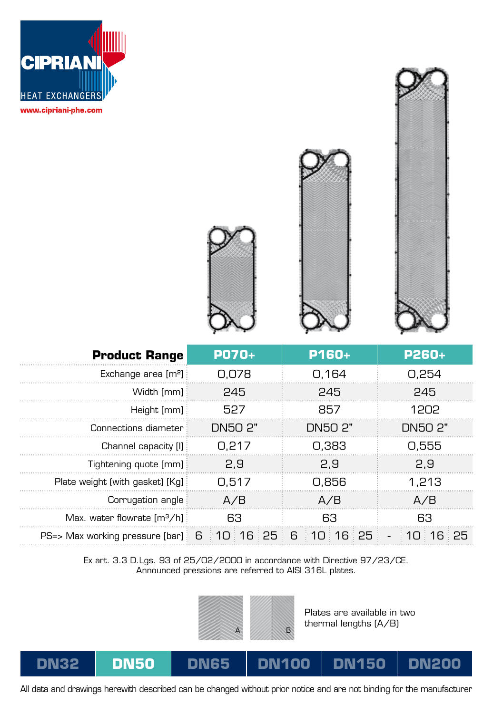





Ex art. 3.3 D.Lgs. 93 of 25/02/2000 in accordance with Directive 97/23/CE. Announced pressions are referred to AISI 316L plates.



Plates are available in two thermal lengths (A/B)

#### **DN32 DN50 DN65 DN150 DN200**

All data and drawings herewith described can be changed without prior notice and are not binding for the manufacturer

**DN100**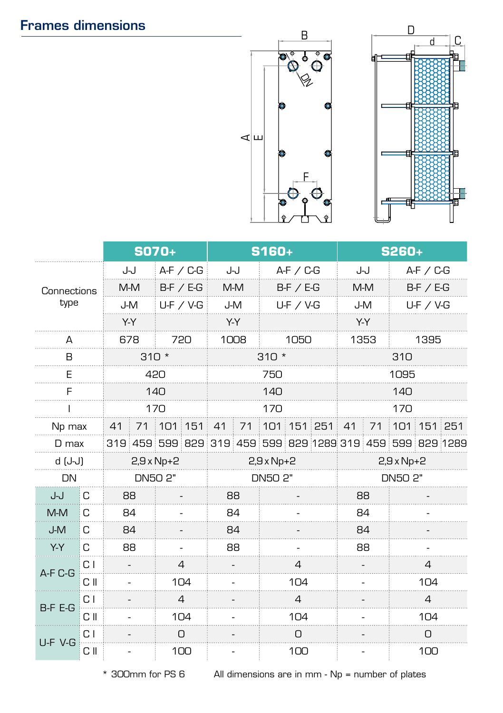## Frames dimensions





|                     |      | <b>SO70+</b>      |                                                           | S160+             |  |                | S260+             |      |  |                |  |
|---------------------|------|-------------------|-----------------------------------------------------------|-------------------|--|----------------|-------------------|------|--|----------------|--|
| Connections<br>type |      | J-J               | $A-F$ / $C-G$                                             | J-J               |  | $A-F / C-G$    |                   | J-J  |  | $A-F$ / $C-G$  |  |
|                     |      | M-M               | BF / EG                                                   | M-M               |  | BF / EG        |                   | M-M  |  | $B-F$ / $E-G$  |  |
|                     |      | J-M               | $U-F$ / V-G                                               | J-M               |  | $U-F$ / V-G    |                   | J-M  |  | $U-F$ / V-G    |  |
|                     |      | Y-Y               |                                                           | Y-Y               |  |                | Y-Y               |      |  |                |  |
| А                   |      | 678               | 720                                                       | 1008              |  | 1050           |                   | 1353 |  | 1395           |  |
| B                   |      | $310 *$           |                                                           | $310 *$           |  | 310            |                   |      |  |                |  |
| F                   |      | 420               |                                                           | 750               |  | 1095           |                   |      |  |                |  |
| F                   |      | 140               |                                                           | 140               |  |                | 140               |      |  |                |  |
|                     |      | 170               |                                                           | 170               |  |                | 170               |      |  |                |  |
| Np max              |      | 41                | 71 101 151 41 71 101 151 251 41                           |                   |  |                |                   |      |  | 71 101 151 251 |  |
| D max               |      |                   | 319 459 599 829 319 459 599 829 1289 319 459 599 829 1289 |                   |  |                |                   |      |  |                |  |
| d (J-J)             |      | $2,9 \times Np+2$ |                                                           | $2,9 \times Np+2$ |  |                | $2,9 \times Np+2$ |      |  |                |  |
| DN                  |      | DN50 2"           |                                                           | DN50 2"           |  |                | DN50 2"           |      |  |                |  |
| ل-ل                 | łС   | 88                |                                                           | 88                |  |                |                   | 88   |  |                |  |
| M-M                 | C    | 84                |                                                           | 84                |  |                |                   | 84   |  |                |  |
| J-M                 | C    | 84                |                                                           | 84                |  |                |                   | 84   |  |                |  |
| Y-Y                 | C    | 88                |                                                           | 88                |  |                |                   | 88   |  |                |  |
| A-F C-G             | СI   |                   | 4                                                         |                   |  | 4              |                   |      |  | 4              |  |
|                     | C II |                   | $1\Omega$                                                 |                   |  | 104            |                   |      |  | 104            |  |
| B-F E-G             | C I  |                   | 4                                                         |                   |  | $\overline{4}$ |                   |      |  | 4              |  |
|                     | СII  |                   | 104                                                       |                   |  | 104            |                   |      |  | 104            |  |
| U-F V-G             | СI   |                   | 0                                                         |                   |  | О              |                   |      |  | 0              |  |
|                     | СII  |                   | 100                                                       |                   |  | 100            |                   |      |  | 100            |  |

\* 300mm for PS 6 All dimensions are in mm - Np = number of plates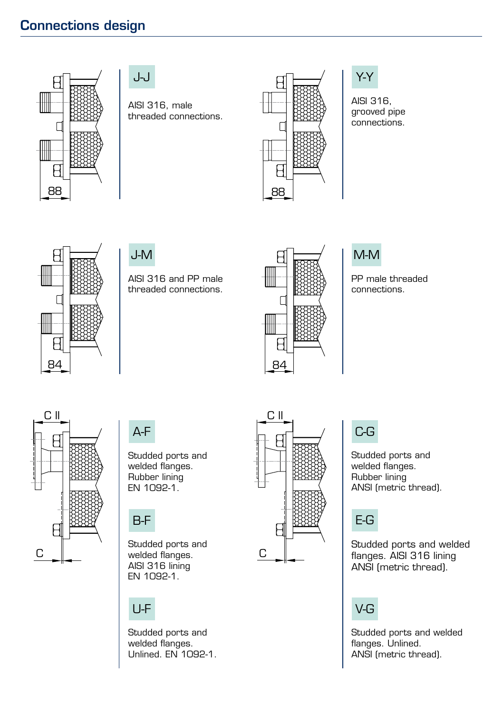## Connections design



#### J-J

AISI 316, male threaded connections.



#### Y-Y

AISI 316, grooved pipe connections.



#### J-M

AISI 316 and PP male threaded connections.



## M-M

PP male threaded connections.



A-F

Studded ports and welded flanges. Rubber lining EN 1092-1.

# B-F

Studded ports and welded flanges. AISI 316 lining EN 1092-1.

## U-F

Studded ports and welded flanges. Unlined. EN 1092-1.



## C-G

Studded ports and welded flanges. Rubber lining ANSI (metric thread).

# E-G

Studded ports and welded flanges. AISI 316 lining ANSI (metric thread).

# V-G

Studded ports and welded flanges. Unlined. ANSI (metric thread).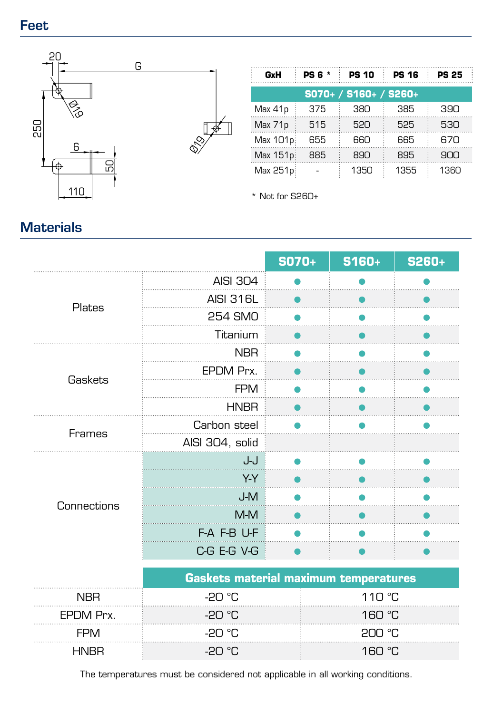### Feet



| GxH      | <b>PS 6 *</b> | <b>PS 10</b>          | <b>PS 16</b> | <b>PS 25</b> |
|----------|---------------|-----------------------|--------------|--------------|
|          |               | S070+ / S160+ / S260+ |              |              |
| Max 41p  | 375           | 380                   | 385          | 390          |
| Max 71p  | 515           | 520                   | 525          | 530          |
| Max 101p | 655           | 660                   | 665          | 670          |
| Max 151p | 885           | 890                   | 895          | 900          |
| Max 251p |               | 1350                  | 1355         | 1360         |

\* Not for S260+

#### **S070+ S160+ S260+** AISI 304 Ä AISI 316L Plates 254 SMO Titanium NBR<sub>N</sub> EPDM Prx. **Gaskets** FPM **HNBR** Carbon steel Frames AISI 304, solid J-J Y-Y J-M **Connections** M-M F-A F-B U-F C-G E-G V-G

|           | <b>Gaskets material maximum temperatures</b> |                   |  |  |  |
|-----------|----------------------------------------------|-------------------|--|--|--|
| NRR       | −PN °C                                       | 110 °C            |  |  |  |
| FPDM Prx. | -20 ∘C                                       | 160 $^{\circ}$ C. |  |  |  |
| ⊢⊢∧⁄I     | -20 °C                                       | on or.            |  |  |  |
| uniki     | -20 ∘C.                                      | 160 °C.           |  |  |  |

The temperatures must be considered not applicable in all working conditions.

# **Materials**